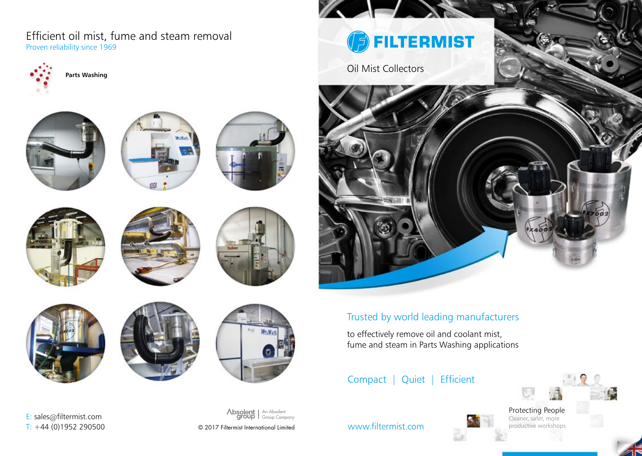Proven reliability since 1969 Efficient oil mist, fume and steam removal

















E: sales@filtermist.com





#### An Absolent Absolent Group Company

 $T: +44$  (0)1952 290500  $\degree$  2017 Filtermist International Limited

**BEILTERMIST** 

Oil Mist Collectors



# Trusted by world leading manufacturers

to effectively remove oil and coolant mist, fume and steam in Parts Washing applications

## Compact | Quiet | Efficient

Protecting People Cleaner, safer, more productive workshops



www.filtermist.com